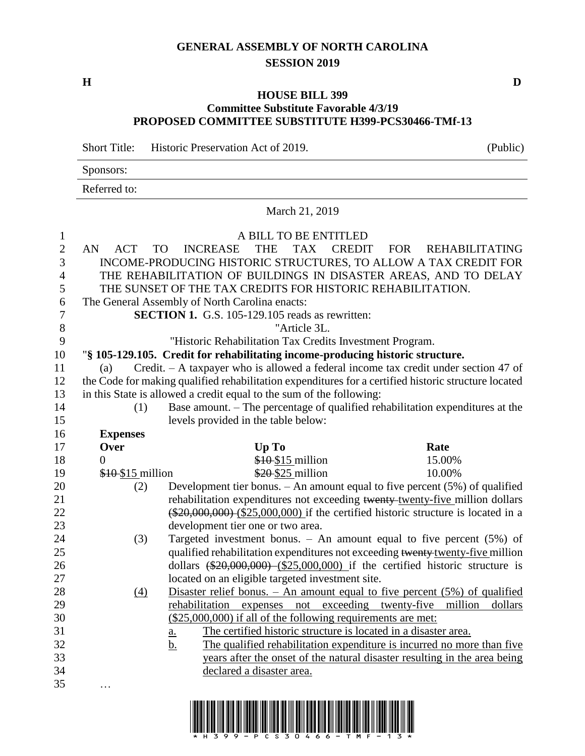## **GENERAL ASSEMBLY OF NORTH CAROLINA SESSION 2019**

**H D**

## **HOUSE BILL 399 Committee Substitute Favorable 4/3/19 PROPOSED COMMITTEE SUBSTITUTE H399-PCS30466-TMf-13**

Short Title: Historic Preservation Act of 2019. (Public)

| Sponsors:    |  |  |  |
|--------------|--|--|--|
| Referred to: |  |  |  |

March 21, 2019

| $\mathbf{1}$<br>$\overline{2}$<br>3<br>$\overline{4}$<br>5 | AN<br><b>ACT</b><br><b>TO</b> | A BILL TO BE ENTITLED<br><b>INCREASE</b><br><b>THE</b><br>TAX<br>INCOME-PRODUCING HISTORIC STRUCTURES, TO ALLOW A TAX CREDIT FOR<br>THE REHABILITATION OF BUILDINGS IN DISASTER AREAS, AND TO DELAY<br>THE SUNSET OF THE TAX CREDITS FOR HISTORIC REHABILITATION. | <b>CREDIT</b><br><b>FOR</b><br><b>REHABILITATING</b>                                |
|------------------------------------------------------------|-------------------------------|-------------------------------------------------------------------------------------------------------------------------------------------------------------------------------------------------------------------------------------------------------------------|-------------------------------------------------------------------------------------|
| 6                                                          |                               | The General Assembly of North Carolina enacts:                                                                                                                                                                                                                    |                                                                                     |
| 7                                                          |                               | <b>SECTION 1.</b> G.S. 105-129.105 reads as rewritten:                                                                                                                                                                                                            |                                                                                     |
| 8                                                          |                               | "Article 3L.                                                                                                                                                                                                                                                      |                                                                                     |
| 9                                                          |                               | "Historic Rehabilitation Tax Credits Investment Program.                                                                                                                                                                                                          |                                                                                     |
| 10                                                         |                               | "§ 105-129.105. Credit for rehabilitating income-producing historic structure.                                                                                                                                                                                    |                                                                                     |
| 11                                                         | (a)                           | Credit. - A taxpayer who is allowed a federal income tax credit under section 47 of                                                                                                                                                                               |                                                                                     |
| 12                                                         |                               | the Code for making qualified rehabilitation expenditures for a certified historic structure located                                                                                                                                                              |                                                                                     |
| 13                                                         |                               | in this State is allowed a credit equal to the sum of the following:                                                                                                                                                                                              |                                                                                     |
| 14                                                         | (1)                           | Base amount. – The percentage of qualified rehabilitation expenditures at the                                                                                                                                                                                     |                                                                                     |
| 15                                                         |                               | levels provided in the table below:                                                                                                                                                                                                                               |                                                                                     |
| 16                                                         | <b>Expenses</b>               |                                                                                                                                                                                                                                                                   |                                                                                     |
| 17                                                         | Over                          | Up To                                                                                                                                                                                                                                                             | Rate                                                                                |
| 18                                                         | $\boldsymbol{0}$              | \$10-\$15 million                                                                                                                                                                                                                                                 | 15.00%                                                                              |
| 19                                                         | \$10 \$15 million             | \$20-\$25 million                                                                                                                                                                                                                                                 | 10.00%                                                                              |
| 20                                                         | (2)                           | Development tier bonus. $-$ An amount equal to five percent (5%) of qualified                                                                                                                                                                                     |                                                                                     |
| 21                                                         |                               |                                                                                                                                                                                                                                                                   | rehabilitation expenditures not exceeding twenty-twenty-five million dollars        |
| 22                                                         |                               |                                                                                                                                                                                                                                                                   | $(*20,000,000)$ $(*25,000,000)$ if the certified historic structure is located in a |
| 23                                                         |                               | development tier one or two area.                                                                                                                                                                                                                                 |                                                                                     |
| 24                                                         | (3)                           |                                                                                                                                                                                                                                                                   | Targeted investment bonus. $-$ An amount equal to five percent (5%) of              |
| 25                                                         |                               |                                                                                                                                                                                                                                                                   | qualified rehabilitation expenditures not exceeding twenty-twenty-five million      |
| 26                                                         |                               |                                                                                                                                                                                                                                                                   | dollars $(*20,000,000)$ $(*25,000,000)$ if the certified historic structure is      |
| 27                                                         |                               | located on an eligible targeted investment site.                                                                                                                                                                                                                  |                                                                                     |
| 28                                                         | $\left(4\right)$              |                                                                                                                                                                                                                                                                   | Disaster relief bonus. $-$ An amount equal to five percent $(5\%)$ of qualified     |
| 29                                                         |                               | rehabilitation expenses not exceeding twenty-five                                                                                                                                                                                                                 | million<br>dollars                                                                  |
| 30                                                         |                               | $($25,000,000)$ if all of the following requirements are met:                                                                                                                                                                                                     |                                                                                     |
| 31                                                         |                               | The certified historic structure is located in a disaster area.<br>$\underline{\mathbf{a}}$ .                                                                                                                                                                     |                                                                                     |
| 32                                                         |                               | <u>b.</u>                                                                                                                                                                                                                                                         | The qualified rehabilitation expenditure is incurred no more than five              |
|                                                            |                               |                                                                                                                                                                                                                                                                   |                                                                                     |
| 33                                                         |                               |                                                                                                                                                                                                                                                                   |                                                                                     |
| 34                                                         |                               | declared a disaster area.                                                                                                                                                                                                                                         | years after the onset of the natural disaster resulting in the area being           |